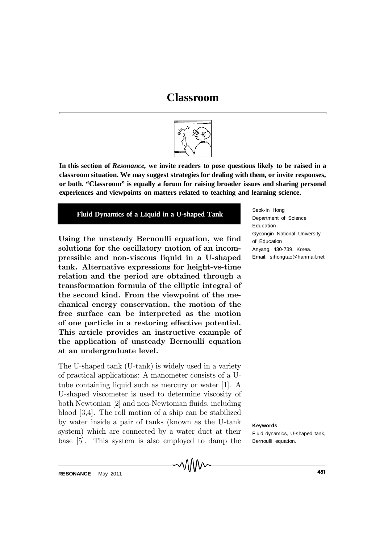# **Classroom**



**In this section of** *Resonance,* **we invite readers to pose questions likely to be raised in a classroom situation. We may suggest strategies for dealing with them, or invite responses, or both. "Classroom" is equally a forum for raising broader issues and sharing personal experiences and viewpoints on matters related to teaching and learning science.**

## **Fluid Dynamics of a Liquid in a U-shaped Tank**

Using the unsteady Bernoulli equation, we find solutions for the oscillatory motion of an incompressible and non-viscous liquid in a U-shaped tank. Alternative expressions for height-vs-time relation and the period are obtained through a transformation formula of the elliptic integral of the second kind. From the viewpoint of the mechanical energy conservation, the motion of the free surface can be interpreted as the motion of one particle in a restoring effective potential. This article provides an instructive example of the application of unsteady Bernoulli equation at an undergraduate level.

The U-shaped tank (U-tank) is widely used in a variety of practical applications: A manometer consists of a Utube containing liquid such as mercury or water [1]. A U-shaped viscometer is used to determine viscosity of both Newtonian  $[2]$  and non-Newtonian fluids, including blood [3,4]. The roll motion of a ship can be stabilized by water inside a pair of tanks (known as the U-tank system) which are connected by a water duct at their base [5]. This system is also employed to damp the

∧∧∧∧∼

Seok-In Hong Department of Science Education Gyeongin National University of Education Anyang, 430-739, Korea. Email: sihongtao@hanmail.net

**Keywords**

Fluid dynamics, U-shaped tank, Bernoulli equation.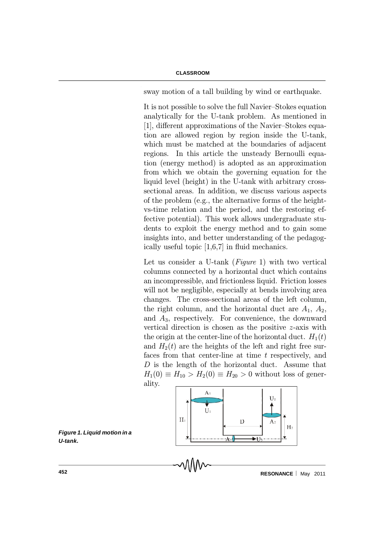sway motion of a tall building by wind or earthquake.

It is not possible to solve the full Navier-Stokes equation analytically for the U-tank problem. As mentioned in [1], different approximations of the Navier-Stokes equation are allowed region by region inside the U-tank, which must be matched at the boundaries of adjacent regions. In this article the unsteady Bernoulli equation (energy method) is adopted as an approximation from which we obtain the governing equation for the liquid level (height) in the U-tank with arbitrary crosssectional areas. In addition, we discuss various aspects of the problem (e.g., the alternative forms of the heightvs-time relation and the period, and the restoring effective potential). This work allows undergraduate students to exploit the energy method and to gain some insights into, and better understanding of the pedagogically useful topic  $[1,6,7]$  in fluid mechanics.

Let us consider a U-tank (*Figure 1*) with two vertical columns connected by a horizontal duct which contains an incompressible, and frictionless liquid. Friction losses will not be negligible, especially at bends involving area changes. The cross-sectional areas of the left column, the right column, and the horizontal duct are  $A_1$ ,  $A_2$ , and  $A_3$ , respectively. For convenience, the downward vertical direction is chosen as the positive z-axis with the origin at the center-line of the horizontal duct.  $H_1(t)$ and  $H_2(t)$  are the heights of the left and right free surfaces from that center-line at time  $t$  respectively, and  $D$  is the length of the horizontal duct. Assume that  $H_1(0) \equiv H_{10} > H_2(0) \equiv H_{20} > 0$  without loss of generality.



*Figure 1. Liquid motion in a U-tank.*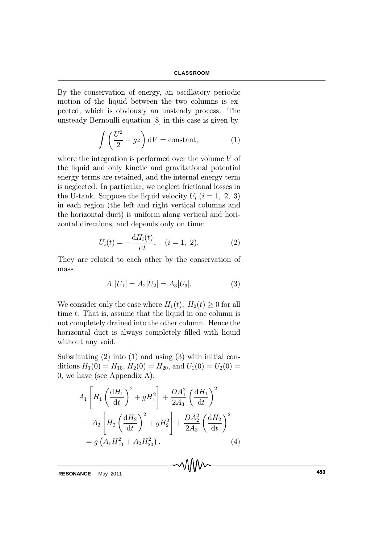By the conservation of energy, an oscillatory periodic motion of the liquid between the two columns is expected, which is obviously an unsteady process. The unsteady Bernoulli equation [8] in this case is given by

$$
\int \left(\frac{U^2}{2} - gz\right) dV = \text{constant},\tag{1}
$$

where the integration is performed over the volume V of the liquid and only kinetic and gravitational potential energy terms are retained, and the internal energy term is neglected. In particular, we neglect frictional losses in the U-tank. Suppose the liquid velocity  $U_i$   $(i = 1, 2, 3)$ in each region (the left and right vertical columns and the horizontal duct) is uniform along vertical and horizontal directions, and depends only on time:

$$
U_i(t) = -\frac{dH_i(t)}{dt}, \quad (i = 1, 2). \tag{2}
$$

They are related to each other by the conservation of mass

$$
A_1|U_1| = A_2|U_2| = A_3|U_3|.\t\t(3)
$$

We consider only the case where  $H_1(t)$ ,  $H_2(t) \geq 0$  for all time  $t$ . That is, assume that the liquid in one column is not completely drained into the other column. Hence the horizontal duct is always completely filled with liquid without any void.

Substituting (2) into (1) and using (3) with initial conditions  $H_1(0) = H_{10}$ ,  $H_2(0) = H_{20}$ , and  $U_1(0) = U_2(0) =$ 0, we have (see Appendix A):

$$
A_{1}\left[H_{1}\left(\frac{dH_{1}}{dt}\right)^{2} + gH_{1}^{2}\right] + \frac{DA_{1}^{2}}{2A_{3}}\left(\frac{dH_{1}}{dt}\right)^{2} + A_{2}\left[H_{2}\left(\frac{dH_{2}}{dt}\right)^{2} + gH_{2}^{2}\right] + \frac{DA_{2}^{2}}{2A_{3}}\left(\frac{dH_{2}}{dt}\right)^{2} = g\left(A_{1}H_{10}^{2} + A_{2}H_{20}^{2}\right).
$$
\n(4)

**RESONANCE** | May 2011 **CONVERTISHED ASSESSED ASSESSED ASSESSED ASSESSED ASSESSED ASSESSED ASSESSED ASSESSED ASSESSED ASSESSED ASSESSED ASSESSED ASSESSED ASSESSED AND <b>ASSESS**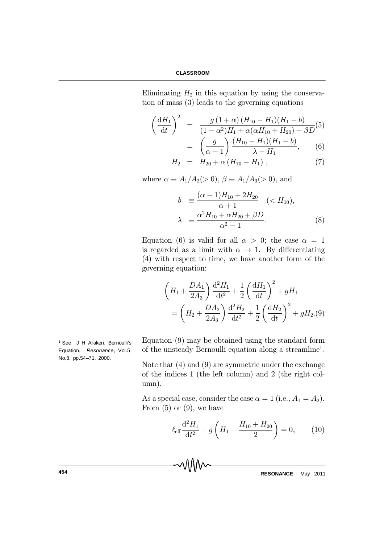Eliminating  $H_2$  in this equation by using the conservation of mass (3) leads to the governing equations

$$
\left(\frac{dH_1}{dt}\right)^2 = \frac{g(1+\alpha)(H_{10} - H_1)(H_1 - b)}{(1-\alpha^2)H_1 + \alpha(\alpha H_{10} + H_{20}) + \beta D}(5)
$$

$$
= \left(\frac{g}{\alpha - 1}\right) \frac{(H_{10} - H_1)(H_1 - b)}{\lambda - H_1}, \quad (6)
$$

$$
H_2 = H_{20} + \alpha (H_{10} - H_1) , \qquad (7)
$$

where  $\alpha \equiv A_1/A_2(> 0)$ ,  $\beta \equiv A_1/A_3(> 0)$ , and

$$
b \equiv \frac{(\alpha - 1)H_{10} + 2H_{20}}{\alpha + 1} \quad (< H_{10}),
$$
  

$$
\lambda \equiv \frac{\alpha^2 H_{10} + \alpha H_{20} + \beta D}{\alpha^2 - 1}.
$$
 (8)

Equation (6) is valid for all  $\alpha > 0$ ; the case  $\alpha = 1$ is regarded as a limit with  $\alpha \rightarrow 1$ . By differentiating (4) with respect to time, we have another form of the governing equation:

$$
\left(H_1 + \frac{DA_1}{2A_3}\right) \frac{d^2 H_1}{dt^2} + \frac{1}{2} \left(\frac{dH_1}{dt}\right)^2 + gH_1
$$

$$
= \left(H_2 + \frac{DA_2}{2A_3}\right) \frac{d^2 H_2}{dt^2} + \frac{1}{2} \left(\frac{dH_2}{dt}\right)^2 + gH_2.(9)
$$

Equation (9) may be obtained using the standard form of the unsteady Bernoulli equation along a streamline 1 *.*

Note that (4) and (9) are symmetric under the exchange of the indices 1 (the left column) and 2 (the right column).

As a special case, consider the case  $\alpha = 1$  (i.e.,  $A_1 = A_2$ ). From  $(5)$  or  $(9)$ , we have

$$
\ell_{\text{eff}}\frac{\mathrm{d}^2H_1}{\mathrm{d}t^2} + g\left(H_1 - \frac{H_{10} + H_{20}}{2}\right) = 0,\qquad(10)
$$

**454 CONSERVANCE RESONANCE** May 2011

<sup>1</sup> See J H Arakeri, Bernoulli's Equation, *Resonance*, Vol.5, No.8, pp.54–71, 2000.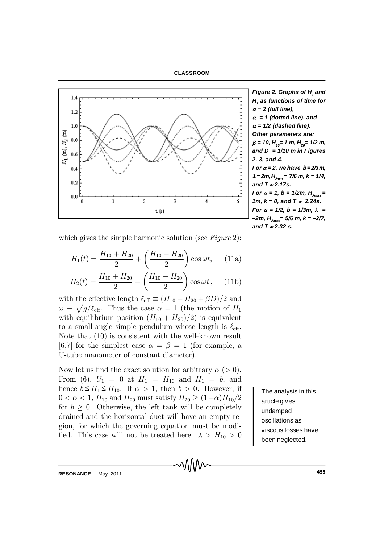



*Figure 2. Graphs of H<sup>1</sup> and H2 as functions of time for*  $\alpha = 2$  (full line),  $\alpha = 1$  (dotted line), and  $\alpha$  = 1/2 (dashed line). *Other parameters are:*  $\beta = 10$ , H<sub>10</sub> = 1 m, H<sub>20</sub> = 1/2 m, *and D = 1/10 m in Figures 2, 3, and 4. For*  $\alpha = 2$ , we have  $b = 2/3m$ ,  $\lambda = 2m$ ,  $H_{2max} = 7/6$  *m*,  $k = 1/4$ , and  $T \approx 2.17$ s. *For*  $\alpha = 1$ ,  $b = 1/2m$ ,  $H_{2mav} =$ *1m, k = 0, and T*  $\approx$  *2.24s. For*  $\alpha = 1/2$ ,  $b = 1/3m$ ,  $\lambda =$ *–2m, H2max= 5/6 m, k = –2/7,* and *T* ≈ 2.32 s.

which gives the simple harmonic solution (see  $Figure 2$ ):

$$
H_1(t) = \frac{H_{10} + H_{20}}{2} + \left(\frac{H_{10} - H_{20}}{2}\right) \cos \omega t, \quad (11a)
$$

$$
H_2(t) = \frac{H_{10} + H_{20}}{2} - \left(\frac{H_{10} - H_{20}}{2}\right) \cos \omega t, \quad (11b)
$$

with the effective length  $\ell_{\text{eff}} \equiv (H_{10} + H_{20} + \beta D)/2$  and  $\omega \equiv \sqrt{g/\ell_{\text{eff}}}$ . Thus the case  $\alpha = 1$  (the motion of  $H_1$ with equilibrium position  $(H_{10} + H_{20})/2$  is equivalent to a small-angle simple pendulum whose length is  $\ell_{\text{eff}}$ . Note that (10) is consistent with the well-known result [6,7] for the simplest case  $\alpha = \beta = 1$  (for example, a U-tube manometer of constant diameter).

Now let us find the exact solution for arbitrary  $\alpha$  (> 0). From (6),  $U_1 = 0$  at  $H_1 = H_{10}$  and  $H_1 = b$ , and hence  $b \leq H_1 \leq H_{10}$ . If  $\alpha > 1$ , then  $b > 0$ . However, if  $0 < \alpha < 1, H_{10}$  and  $H_{20}$  must satisfy  $H_{20} \ge (1-\alpha)H_{10}/2$ for  $b \geq 0$ . Otherwise, the left tank will be completely drained and the horizontal duct will have an empty region, for which the governing equation must be modi fied. This case will not be treated here.  $\lambda > H_{10} > 0$ 

The analysis in this articlegives undamped oscillations as viscous losses have been neglected.

**RESONANCE** May 2011 **CONVERTIGATE:**  $V = V + V$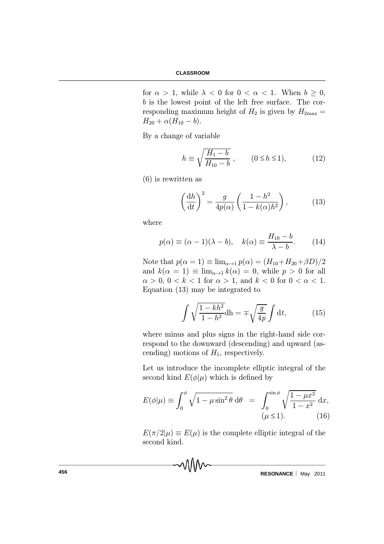for  $\alpha > 1$ , while  $\lambda < 0$  for  $0 < \alpha < 1$ . When  $b \ge 0$ , b is the lowest point of the left free surface. The corresponding maximum height of  $H_2$  is given by  $H_{2\text{max}} =$  $H_{20} + \alpha (H_{10} - b).$ 

By a change of variable

$$
h \equiv \sqrt{\frac{H_1 - b}{H_{10} - b}}, \qquad (0 \le h \le 1), \tag{12}
$$

(6) is rewritten as

$$
\left(\frac{\mathrm{d}h}{\mathrm{d}t}\right)^2 = \frac{g}{4p(\alpha)} \left(\frac{1-h^2}{1-k(\alpha)h^2}\right),\tag{13}
$$

where

$$
p(\alpha) \equiv (\alpha - 1)(\lambda - b), \quad k(\alpha) \equiv \frac{H_{10} - b}{\lambda - b}.
$$
 (14)

Note that  $p(\alpha = 1) \equiv \lim_{\alpha \to 1} p(\alpha) = (H_{10} + H_{20} + \beta D)/2$ and  $k(\alpha = 1) \equiv \lim_{\alpha \to 1} k(\alpha) = 0$ , while  $p > 0$  for all  $\alpha > 0$ ,  $0 < k < 1$  for  $\alpha > 1$ , and  $k < 0$  for  $0 < \alpha < 1$ . Equation (13) may be integrated to

$$
\int \sqrt{\frac{1 - kh^2}{1 - h^2}} \mathrm{d}h = \mp \sqrt{\frac{g}{4p}} \int \mathrm{d}t,\tag{15}
$$

where minus and plus signs in the right-hand side correspond to the downward (descending) and upward (ascending) motions of  $H_1$ , respectively.

Let us introduce the incomplete elliptic integral of the second kind  $E(\phi|\mu)$  which is defined by

$$
E(\phi|\mu) \equiv \int_0^{\phi} \sqrt{1 - \mu \sin^2 \theta} \, \mathrm{d}\theta = \int_0^{\sin \phi} \sqrt{\frac{1 - \mu x^2}{1 - x^2}} \, \mathrm{d}x,
$$

$$
(\mu \le 1). \tag{16}
$$

 $E(\pi/2|\mu) \equiv E(\mu)$  is the complete elliptic integral of the second kind.

**456 RESONANCE** May 2011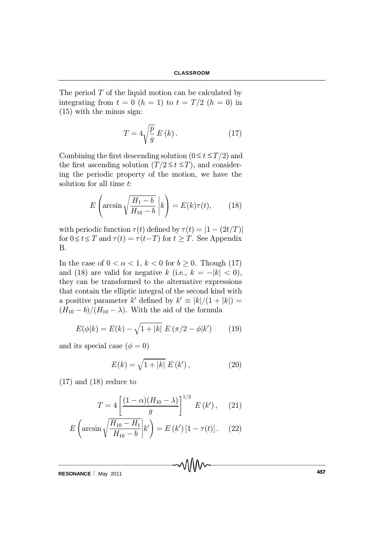The period  $T$  of the liquid motion can be calculated by integrating from  $t = 0$   $(h = 1)$  to  $t = T/2$   $(h = 0)$  in (15) with the minus sign:

$$
T = 4\sqrt{\frac{p}{g}} E(k). \tag{17}
$$

Combining the first descending solution  $(0 \le t \le T/2)$  and the first ascending solution  $(T/2 \le t \le T)$ , and considering the periodic property of the motion, we have the solution for all time t:

$$
E\left(\arcsin\sqrt{\frac{H_1-b}{H_{10}-b}}\; \bigg| k\right) = E(k)\tau(t),\qquad(18)
$$

with periodic function  $\tau(t)$  defined by  $\tau(t) = |1 - (2t/T)|$ for  $0 \le t \le T$  and  $\tau(t) = \tau(t-T)$  for  $t \ge T$ . See Appendix B.

In the case of  $0 < \alpha < 1$ ,  $k < 0$  for  $b \ge 0$ . Though (17) and (18) are valid for negative k (i.e.,  $k = -|k| < 0$ ), they can be transformed to the alternative expressions that contain the elliptic integral of the second kind with a positive parameter k' defined by  $k' \equiv |k|/(1 + |k|) =$  $(H_{10} - b)/(H_{10} - \lambda)$ . With the aid of the formula

$$
E(\phi|k) = E(k) - \sqrt{1 + |k|} E(\pi/2 - \phi|k')
$$
 (19)

and its special case  $(\phi = 0)$ 

$$
E(k) = \sqrt{1 + |k|} E(k'),
$$
 (20)

 $(17)$  and  $(18)$  reduce to

$$
T = 4 \left[ \frac{(1 - \alpha)(H_{10} - \lambda)}{g} \right]^{1/2} E(k'), \quad (21)
$$

$$
E \left( \arcsin \sqrt{\frac{H_{10} - H_1}{H_{10} - b}} \middle| k' \right) = E(k') [1 - \tau(t)]. \quad (22)
$$

**RESONANCE** | May 2011 **CONTRACT 1999 MAGNET WAS A MAGNET WAS A 457 MAGNET WAS A 457**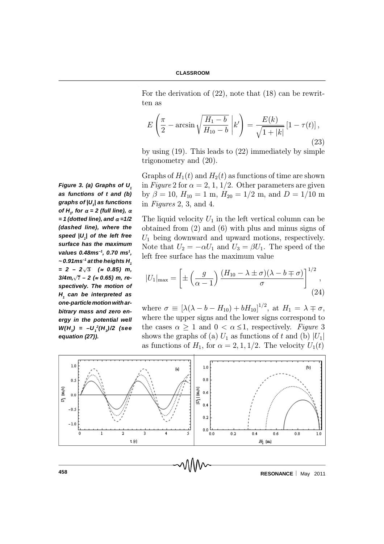For the derivation of (22), note that (18) can be rewritten as

$$
E\left(\frac{\pi}{2} - \arcsin\sqrt{\frac{H_1 - b}{H_{10} - b}} \; \middle| \; k'\right) = \frac{E(k)}{\sqrt{1 + |k|}} \left[1 - \tau(t)\right],\tag{23}
$$

by using (19). This leads to (22) immediately by simple trigonometry and (20).

Graphs of  $H_1(t)$  and  $H_2(t)$  as functions of time are shown in Figure 2 for  $\alpha = 2, 1, 1/2$ . Other parameters are given by  $\beta = 10$ ,  $H_{10} = 1$  m,  $H_{20} = 1/2$  m, and  $D = 1/10$  m in Figures 2, 3, and 4.

The liquid velocity  $U_1$  in the left vertical column can be obtained from (2) and (6) with plus and minus signs of  $U_1$  being downward and upward motions, respectively. Note that  $U_2 = -\alpha U_1$  and  $U_3 = \beta U_1$ . The speed of the left free surface has the maximum value

$$
|U_1|_{\max} = \left[\pm \left(\frac{g}{\alpha - 1}\right) \frac{(H_{10} - \lambda \pm \sigma)(\lambda - b \mp \sigma)}{\sigma}\right]^{1/2},\tag{24}
$$

where  $\sigma \equiv [\lambda(\lambda - b - H_{10}) + bH_{10}]^{1/2}$ , at  $H_1 = \lambda \mp \sigma$ , where the upper signs and the lower signs correspond to the cases  $\alpha \geq 1$  and  $0 < \alpha \leq 1$ , respectively. Figure 3 shows the graphs of (a)  $U_1$  as functions of t and (b)  $|U_1|$ as functions of  $H_1$ , for  $\alpha = 2, 1, 1/2$ . The velocity  $U_1(t)$ 



**458 RESONANCE** May 2011

*Figure 3. (a) Graphs of U<sup>1</sup> as functions of t and (b) graphs of |U<sup>1</sup> | as functions of*  $H_i$ , for  $\alpha = 2$  (full line),  $\alpha$  $= 1$  (dotted line), and  $\alpha = 1/2$ *(dashed line), where the speed |U<sup>1</sup> | of the left free surface has the maximum values 0.48ms–1, 0.70 ms<sup>1</sup> , ~ 0.91ms–1 at the heights H<sup>1</sup>*  $= 2 - 2\sqrt{3}$  ( $\approx 0.85$ ) m, *3/4m*,  $\sqrt{7}$  − 2 (≈ 0.65) m, re*spectively. The motion of H1 can be interpreted as one-particle motion with arbitrary mass and zero energy in the potential well W(H<sup>1</sup> ) = –U<sup>1</sup> 2 (H<sup>1</sup> )/2 (see equation (27)).*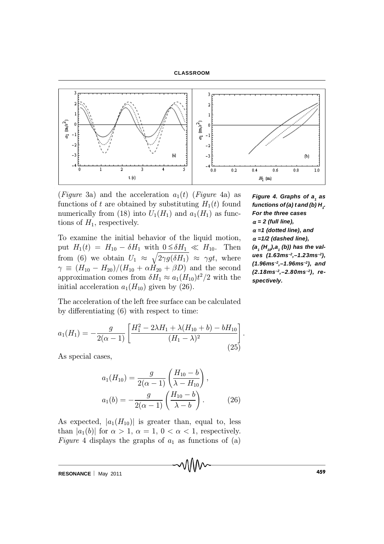#### **CLASSROOM**



(Figure 3a) and the acceleration  $a_1(t)$  (Figure 4a) as functions of t are obtained by substituting  $H_1(t)$  found numerically from (18) into  $U_1(H_1)$  and  $a_1(H_1)$  as functions of  $H_1$ , respectively.

To examine the initial behavior of the liquid motion, put  $H_1(t) = H_{10} - \delta H_1$  with  $0 \leq \delta H_1 \ll H_{10}$ . Then from (6) we obtain  $U_1 \approx \sqrt{2\gamma g(\delta H_1)} \approx \gamma gt$ , where  $\gamma \equiv (H_{10} - H_{20})/(H_{10} + \alpha \tilde{H}_{20} + \beta D)$  and the second approximation comes from  $\delta H_1 \approx a_1(H_{10})t^2/2$  with the initial acceleration  $a_1(H_{10})$  given by (26).

*Figure 4. Graphs of a<sup>1</sup> as functions of (a) t and (b)*  $H_i$ *. For the three cases*  $\alpha = 2$  (full line),  $\alpha$  =1 (dotted line), and  $\alpha$  =1/2 (dashed line), *(a1 (H10),a<sup>1</sup> (b)) has the values (1.63ms–2,–1.23ms–2), (1.96ms–2,–1.96ms–2), and (2.18ms –2,–2.80ms–2), respectively.*

The acceleration of the left free surface can be calculated by differentiating  $(6)$  with respect to time:

$$
a_1(H_1) = -\frac{g}{2(\alpha - 1)} \left[ \frac{H_1^2 - 2\lambda H_1 + \lambda (H_{10} + b) - bH_{10}}{(H_1 - \lambda)^2} \right].
$$
\n(25)

As special cases,

$$
a_1(H_{10}) = \frac{g}{2(\alpha - 1)} \left( \frac{H_{10} - b}{\lambda - H_{10}} \right),
$$
  

$$
a_1(b) = -\frac{g}{2(\alpha - 1)} \left( \frac{H_{10} - b}{\lambda - b} \right).
$$
 (26)

As expected,  $|a_1(H_{10})|$  is greater than, equal to, less than  $|a_1(b)|$  for  $\alpha > 1$ ,  $\alpha = 1$ ,  $0 < \alpha < 1$ , respectively. Figure 4 displays the graphs of  $a_1$  as functions of (a)

**RESONANCE** | May 2011 **May 2011 May 2011 May 2011 May 2011 May 2011**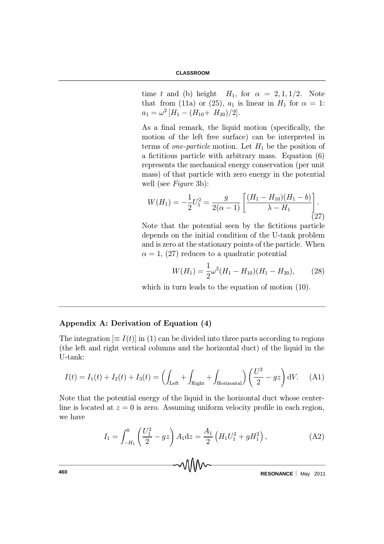time t and (b) height  $H_1$ , for  $\alpha = 2, 1, 1/2$ . Note that from (11a) or (25),  $a_1$  is linear in  $H_1$  for  $\alpha = 1$ :  $a_1 = \omega^2 \left[ H_1 - (H_{10} + H_{20})/2 \right].$ 

As a final remark, the liquid motion (specifically, the motion of the left free surface) can be interpreted in terms of *one-particle* motion. Let  $H_1$  be the position of a fictitious particle with arbitrary mass. Equation  $(6)$ represents the mechanical energy conservation (per unit mass) of that particle with zero energy in the potential well (see Figure 3b):

$$
W(H_1) = -\frac{1}{2}U_1^2 = \frac{g}{2(\alpha - 1)} \left[ \frac{(H_1 - H_{10})(H_1 - b)}{\lambda - H_1} \right].
$$
\n(27)

Note that the potential seen by the fictitious particle depends on the initial condition of the U-tank problem and is zero at the stationary points of the particle. When  $\alpha = 1$ , (27) reduces to a quadratic potential

$$
W(H_1) = \frac{1}{2}\omega^2 (H_1 - H_{10})(H_1 - H_{20}), \qquad (28)
$$

which in turn leads to the equation of motion (10).

## Appendix A: Derivation of Equation (4)

The integration  $\equiv I(t)$  in (1) can be divided into three parts according to regions (the left and right vertical columns and the horizontal duct) of the liquid in the U-tank:

$$
I(t) = I_1(t) + I_2(t) + I_3(t) = \left(\int_{\text{Left}} + \int_{\text{Right}} + \int_{\text{Horizontal}}\right) \left(\frac{U^2}{2} - gz\right) dV. \tag{A1}
$$

Note that the potential energy of the liquid in the horizontal duct whose centerline is located at  $z = 0$  is zero. Assuming uniform velocity profile in each region, we have

$$
I_1 = \int_{-H_1}^{0} \left(\frac{U_1^2}{2} - gz\right) A_1 dz = \frac{A_1}{2} \left(H_1 U_1^2 + g H_1^2\right),\tag{A2}
$$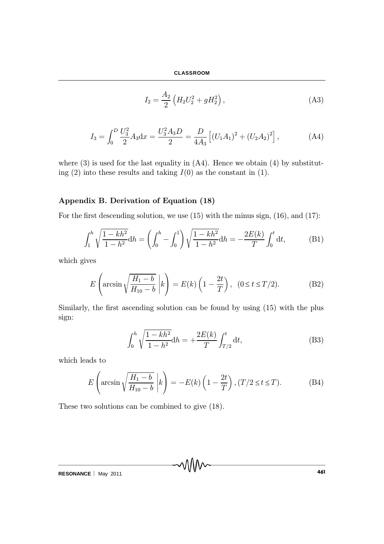$$
I_2 = \frac{A_2}{2} \left( H_2 U_2^2 + g H_2^2 \right), \tag{A3}
$$

$$
I_3 = \int_0^D \frac{U_3^2}{2} A_3 \mathrm{d}x = \frac{U_3^2 A_3 D}{2} = \frac{D}{4A_3} \left[ (U_1 A_1)^2 + (U_2 A_2)^2 \right],\tag{A4}
$$

where  $(3)$  is used for the last equality in  $(A4)$ . Hence we obtain  $(4)$  by substituting  $(2)$  into these results and taking  $I(0)$  as the constant in  $(1)$ .

## Appendix B. Derivation of Equation (18)

For the first descending solution, we use  $(15)$  with the minus sign,  $(16)$ , and  $(17)$ :

$$
\int_1^h \sqrt{\frac{1 - kh^2}{1 - h^2}} dh = \left( \int_0^h - \int_0^1 \right) \sqrt{\frac{1 - kh^2}{1 - h^2}} dh = -\frac{2E(k)}{T} \int_0^t dt,
$$
 (B1)

which gives

$$
E\left(\arcsin\sqrt{\frac{H_1-b}{H_{10}-b}}\; \bigg| k\right) = E(k)\left(1-\frac{2t}{T}\right),\ \ (0\leq t\leq T/2). \tag{B2}
$$

Similarly, the first ascending solution can be found by using (15) with the plus sign:

$$
\int_0^h \sqrt{\frac{1 - kh^2}{1 - h^2}} dh = +\frac{2E(k)}{T} \int_{T/2}^t dt,
$$
 (B3)

which leads to

$$
E\left(\arcsin\sqrt{\frac{H_1-b}{H_{10}-b}}\; \bigg| k\right) = -E(k)\left(1-\frac{2t}{T}\right), (T/2 \le t \le T). \tag{B4}
$$

These two solutions can be combined to give (18).

**RESONANCE** | May 2011 **1461**